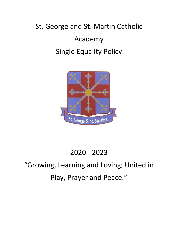# St. George and St. Martin Catholic Academy Single Equality Policy



# 2020 - 2023

# "Growing, Learning and Loving; United in Play, Prayer and Peace."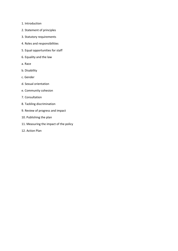- 1. Introduction
- 2. Statement of principles
- 3. Statutory requirements
- 4. Roles and responsibilities
- 5. Equal opportunities for staff
- 6. Equality and the law
- a. Race
- b. Disability
- c. Gender
- d. Sexual orientation
- e. Community cohesion
- 7. Consultation
- 8. Tackling discrimination
- 9. Review of progress and impact
- 10. Publishing the plan
- 11. Measuring the impact of the policy
- 12. Action Plan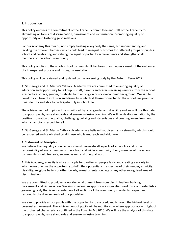#### **1. Introduction**

This policy outlines the commitment of the Academy Committee and staff of the Academy to eliminating all forms of discrimination, harassment and victimisation; promoting equality of opportunity and fostering good relations.

For our Academy this means, not simply treating everybody the same, but understanding and tackling the different barriers which could lead to unequal outcomes for different groups of pupils in school and celebrating and valuing the equal opportunity achievements and strengths of all members of the school community.

This policy applies to the whole school community. It has been drawn up as a result of the outcomes of a transparent process and through consultation.

This policy will be reviewed and updated by the governing body by the Autumn Term 2022.

At St. George and St. Martin's Catholic Academy, we are committed to ensuring equality of education and opportunity for all pupils, staff, parents and carers receiving services from the school, irrespective of race, gender, disability, faith or religion or socio-economic background. We aim to develop a culture of inclusion and diversity in which all those connected to the school feel proud of their identity and able to participate fully in school life.

The achievement of pupils will be monitored by race, gender and disability and we will use this data to support pupils, raise standards and ensure inclusive teaching. We will tackle discrimination by the positive promotion of equality, challenging bullying and stereotypes and creating an environment which champions respect for all.

At St. George and St. Martin Catholic Academy, we believe that diversity is a strength, which should be respected and celebrated by all those who learn, teach and visit here.

#### **2. Statement of Principles**

We believe that equality at our school should permeate all aspects of school life and is the responsibility of every member of the school and wider community. Every member of the school community should feel safe, secure, valued and of equal worth.

At this Academy, equality is a key principle for treating all people fairly and creating a society in which everyone has the opportunity to fulfil their potential - irrespective of their gender, ethnicity, disability, religious beliefs or other beliefs, sexual orientation, age or any other recognised area of discrimination.

We are committed to providing a working environment free from discrimination, bullying, harassment and victimisation. We aim to recruit an appropriately qualified workforce and establish a governing body that is representative of all sections of the community in order to respect and respond to the diverse needs of our population.

We aim to provide all our pupils with the opportunity to succeed, and to reach the highest level of personal achievement. The achievement of pupils will be monitored – where appropriate – in light of the protected characteristics outlined in the Equality Act 2010. We will use the analysis of this data to support pupils, raise standards and ensure inclusive teaching.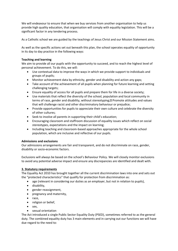We will endeavour to ensure that when we buy services from another organisation to help us provide high quality education, that organisation will comply with equality legislation. This will be a significant factor in any tendering process.

As a Catholic school we are guided by the teachings of Jesus Christ and our Mission Statement aims.

As well as the specific actions set out beneath this plan, the school operates equality of opportunity in its day to day practice in the following ways:

# **Teaching and learning**

We aim to provide all our pupils with the opportunity to succeed, and to reach the highest level of personal achievement. To do this, we will:

- Use contextual data to improve the ways in which we provide support to individuals and groups of pupils;
- Monitor achievement data by ethnicity, gender and disability and action any gaps;
- Take account of the achievement of all pupils when planning for future learning and setting challenging targets;
- Ensure equality of access for all pupils and prepare them for life in a diverse society;
- Use materials that reflect the diversity of the school, population and local community in terms of race, gender and disability, without stereotyping; **Promote attitudes and values** that will challenge racist and other discriminatory behaviour or prejudice;
- Provide opportunities for pupils to appreciate their own culture and celebrate the diversity of other cultures;
- Seek to involve all parents in supporting their child's education;
- Encouraging classroom and staffroom discussion of equality issues which reflect on social stereotypes, expectations and the impact on learning;
- Including teaching and classroom-based approaches appropriate for the whole school population, which are inclusive and reflective of our pupils.

# **Admissions and exclusions**

Our admissions arrangements are fair and transparent, and do not discriminate on race, gender, disability or socio-economic factors.

Exclusions will always be based on the school's Behaviour Policy. We will closely monitor exclusions to avoid any potential adverse impact and ensure any discrepancies are identified and dealt with.

# **3. Statutory requirements**

The Equality Act 2010 has brought together all the current discrimination laws into one and sets out the "protected characteristics" that qualify for protection from discrimination as:

- age (relevant in considering our duties as an employer, but not in relation to pupils),
- disability,
- gender reassignment,
- pregnancy and maternity,
- race,
- religion or belief,
- $\bullet$  sex.
- sexual orientation

The Act introduced a single Public Sector Equality Duty (PSED), sometimes referred to as the general duty. The combined equality duty has 3 main elements and in carrying out our functions we will have due regard to the need to: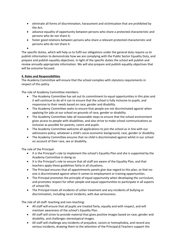- eliminate all forms of discrimination, harassment and victimisation that are prohibited by the Act;
- advance equality of opportunity between persons who share a protected characteristic and persons who do not share it;
- foster good relations between persons who share a relevant protected characteristic and persons who do not share it.
- $\bullet$

The specific duties, which will help us to fulfil our obligations under the general duty require us to publish information to demonstrate how we are complying with the Public Sector Equality Duty, and prepare and publish equality objectives. In light of the specific duties the school will publish and review annually appropriate information. We will also prepare and publish equality objectives that will be outcome focused.

# **4. Roles and Responsibilities**

The Academy Committee will ensure that the school complies with statutory requirements in respect of this policy.

The role of Academy Committee members:

- The Academy Committee has set out its commitment to equal opportunities in this plan and it will continue to do all it can to ensure that the school is fully inclusive to pupils, and responsive to their needs based on race, gender and disability.
- The Academy Committee seeks to ensure that people are not discriminated against when applying for jobs at our school on grounds of race, gender or disability.
- The Academy Committee take all reasonable steps to ensure that the school environment gives access to people with disabilities, and also strive to make school communications as inclusive as possible for parents, carers and pupils.
- The Academy Committee welcome all applications to join the school as in line with our admissions policy, whatever a child's socio-economic background, race, gender or disability.
- The Academy Committee ensures that no child is discriminated against whilst in our school on account of their race, sex or disability.

The role of the Principal:

- It is the Principal's role to implement the school's Equality Plan and she is supported by the Academy Committee in doing so.
- It is the Principal's role to ensure that all staff are aware of the Equality Plan, and that teachers apply these guidelines fairly in all situations.
- The Principal ensures that all appointments panels give due regard to this plan, so that noone is discriminated against when it comes to employment or training opportunities.
- The Principal promotes the principle of equal opportunity when developing the curriculum, and promotes respect for other people and equal opportunities to participate in all aspects of school life.
- The Principal treats all incidents of unfair treatment and any incidents of bullying or discrimination, including racist incidents, with due seriousness.

The role of all staff: teaching and non-teaching:

- All staff will ensure that all pupils are treated fairly, equally and with respect, and will maintain awareness of the school's Equality Plan.
- All staff will strive to provide material that gives positive images based on race, gender and disability, and challenges stereotypical images.
- All staff will challenge any incidents of prejudice, racism or homophobia, and record any serious incidents, drawing them to the attention of the Principal.<sup>[2]</sup> Teachers support the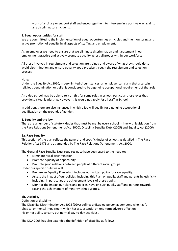work of ancillary or support staff and encourage them to intervene in a positive way against any discriminatory incidents.

# **5. Equal opportunities for staff**

We are committed to the implementation of equal opportunities principles and the monitoring and active promotion of equality in all aspects of staffing and employment.

As an employer we need to ensure that we eliminate discrimination and harassment in our employment practice and actively promote equality across all groups within our workforce.

All those involved in recruitment and selection are trained and aware of what they should do to avoid discrimination and ensure equality good practice through the recruitment and selection process.

#### Note:

Under the Equality Act 2010, in very limited circumstances, an employer can claim that a certain religious denomination or belief is considered to be a genuine occupational requirement of that role.

An aided school may be able to rely on this for some roles in school, particular those roles that provide spiritual leadership. However this would not apply for all staff in School.

In addition, there are also instances in which a job will qualify for a genuine occupational qualification on the grounds of gender.

#### **6. Equality and the law**

There are a number of statutory duties that must be met by every school in line with legislation from the Race Relations (Amendment) Act (2000), Disability Equality Duty (2005) and Equality Act (2006).

#### **6a. Race Equality**

This section of the plan reflects the general and specific duties of schools as detailed in The Race Relations Act 1976 and as amended by The Race Relations (Amendment) Act 2000.

The General Race Equality Duty requires us to have due regard to the need to:

- Eliminate racial discrimination;
- Promote equality of opportunity;
- Promote good relations between people of different racial groups.

Under our specific duty we will:

- Prepare an Equality Plan which includes our written policy for race equality;
- Assess the impact of our policies, including this Plan, on pupils, staff and parents by ethnicity including, in particular, the achievement levels of these pupils;
- Monitor the impact our plans and policies have on such pupils, staff and parents towards raising the achievement of minority ethnic groups.

#### **6b. Disability**

#### Definition of disability

The Disability Discrimination Act 2005 (DDA) defines a disabled person as someone who has 'a physical or mental impairment which has a substantial or long-term adverse effect on his or her ability to carry out normal day-to-day activities'.

The DDA 2005 has also extended the definition of disability as follows: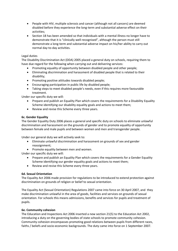- People with HIV, multiple sclerosis and cancer (although not all cancers) are deemed disabled before they experience the long-term and substantial adverse effect on their activities;
- Section 18 has been amended so that individuals with a mental illness no longer have to demonstrate that it is "clinically well-recognised", although the person must still demonstrate a long-term and substantial adverse impact on his/her ability to carry out normal day-to-day activities.

# Legal duties

The Disability Discrimination Act (DDA) 2005 placed a general duty on schools, requiring them to have due regard for the following when carrying out and delivering services:

- Promoting equality of opportunity between disabled people and other people;
- Eliminating discrimination and harassment of disabled people that is related to their disability;
- Promoting positive attitudes towards disabled people;
- Encouraging participation in public life by disabled people;
- Taking steps to meet disabled people's needs, even if this requires more favourable treatment.

Under our specific duty we will:

- Prepare and publish an Equality Plan which covers the requirements for a Disability Equality Scheme identifying our disability equality goals and actions to meet them;
- Review and revise this Scheme every three years.

# **6c. Gender Equality**

The Gender Equality Duty 2006 places a general and specific duty on schools to eliminate unlawful discrimination and harassment on the grounds of gender and to promote equality of opportunity between female and male pupils and between women and men and transgender people.

Under our general duty we will actively seek to:

- Eliminate unlawful discrimination and harassment on grounds of sex and gender reassignment;
- Promote equality between men and women.

Under our specific duty we will:

- Prepare and publish an Equality Plan which covers the requirements for a Gender Equality Scheme identifying our gender equality goals and actions to meet them;
- Review and revise this Scheme every three years.

# **6d. Sexual Orientation**

The Equality Act 2006 made provision for regulations to be introduced to extend protection against discrimination on grounds of religion or belief to sexual orientation.

The Equality Act (Sexual Orientation) Regulations 2007 came into force on 30 April 2007, and they make discrimination unlawful in the area of goods, facilities and services on grounds of sexual orientation. For schools this means admissions, benefits and services for pupils and treatment of pupils.

#### **6e. Community cohesion**

The Education and Inspections Act 2006 inserted a new section 21(5) to the Education Act 2002, introducing a duty on the governing bodies of state schools to promote community cohesion. Community cohesion encompasses promoting good relations between pupils from different races, faiths / beliefs and socio-economic backgrounds. The duty came into force on 1 September 2007.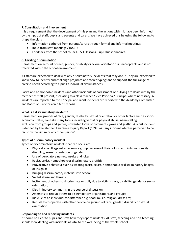# **7. Consultation and involvement**

It is a requirement that the development of this plan and the actions within it have been informed by the input of staff, pupils and parents and carers. We have achieved this by using the following to shape the plan:

- Information gathered from parents/carers through formal and informal meetings.
- Input from staff meetings / INSET;
- Feedback from the school council, PSHE lessons, Pupil Questionnaires.

# **8. Tackling discrimination**

Harassment on account of race, gender, disability or sexual orientation is unacceptable and is not tolerated within the school environment.

All staff are expected to deal with any discriminatory incidents that may occur. They are expected to know how to identify and challenge prejudice and stereotyping; and to support the full range of diverse needs according to a pupil's individual circumstances.

Racist and homophobic incidents and other incidents of harassment or bullying are dealt with by the member of staff present, escalating to a class teacher / Vice Principal/ Principal where necessary. All incidents are reported to the Principal and racist incidents are reported to the Academy Committee and Board of Directors on a termly basis.

# **What is a discriminatory incident?**

Harassment on grounds of race, gender, disability, sexual orientation or other factors such as socioeconomic status, can take many forms including verbal or physical abuse, name calling, exclusion from groups and games, unwanted looks or comments, jokes and graffiti. A racist incident is defined by the Stephen Lawrence Inquiry Report (1999) as: 'any incident which is perceived to be racist by the victim or any other person'.

# **Types of discriminatory incident**

Types of discriminatory incidents that can occur are:

- Physical assault against a person or group because of their colour, ethnicity, nationality, disability, sexual orientation or gender;
- Use of derogatory names, insults and jokes;
- Racist, sexist, homophobic or discriminatory graffiti;
- Provocative behaviour such as wearing racist, sexist, homophobic or discriminatory badges or insignia;
- Bringing discriminatory material into school;
- Verbal abuse and threats;
- Incitement of others to discriminate or bully due to victim's race, disability, gender or sexual orientation;
- Discriminatory comments in the course of discussion;
- Attempts to recruit others to discriminatory organisations and groups;
- Ridicule of an individual for difference e.g. food, music, religion, dress etc;
- Refusal to co-operate with other people on grounds of race, gender, disability or sexual orientation.

# **Responding to and reporting incidents**

It should be clear to pupils and staff how they report incidents. All staff, teaching and non-teaching, should view dealing with incidents as vital to the well-being of the whole school.